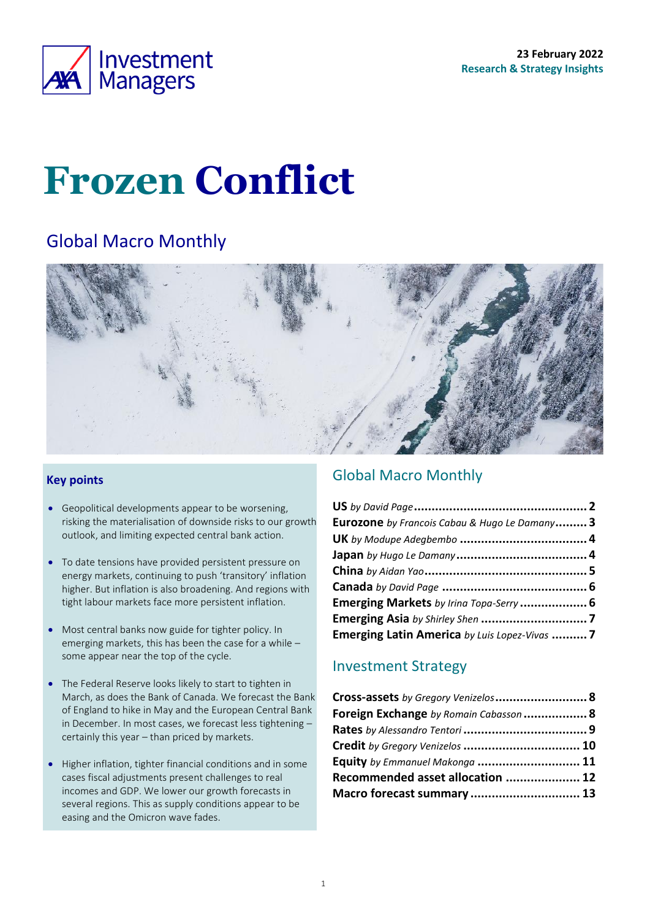

# **Frozen Conflict**

# Global Macro Monthly



### **Key points**

- Geopolitical developments appear to be worsening, risking the materialisation of downside risks to our growth outlook, and limiting expected central bank action.
- To date tensions have provided persistent pressure on energy markets, continuing to push 'transitory' inflation higher. But inflation is also broadening. And regions with tight labour markets face more persistent inflation.
- Most central banks now guide for tighter policy. In emerging markets, this has been the case for a while – some appear near the top of the cycle.
- The Federal Reserve looks likely to start to tighten in March, as does the Bank of Canada. We forecast the Bank of England to hike in May and the European Central Bank in December. In most cases, we forecast less tightening – certainly this year – than priced by markets.
- Higher inflation, tighter financial conditions and in some cases fiscal adjustments present challenges to real incomes and GDP. We lower our growth forecasts in several regions. This as supply conditions appear to be easing and the Omicron wave fades.

### <span id="page-0-0"></span>Global Macro Monthly

| Eurozone by Francois Cabau & Hugo Le Damany 3 |  |
|-----------------------------------------------|--|
|                                               |  |
|                                               |  |
|                                               |  |
|                                               |  |
| Emerging Markets by Irina Topa-Serry  6       |  |
|                                               |  |
| Emerging Latin America by Luis Lopez-Vivas 7  |  |

### Investment Strategy

| Cross-assets by Gregory Venizelos 8    |  |
|----------------------------------------|--|
| Foreign Exchange by Romain Cabasson  8 |  |
|                                        |  |
| Credit by Gregory Venizelos  10        |  |
| Equity by Emmanuel Makonga  11         |  |
| Recommended asset allocation  12       |  |
| Macro forecast summary  13             |  |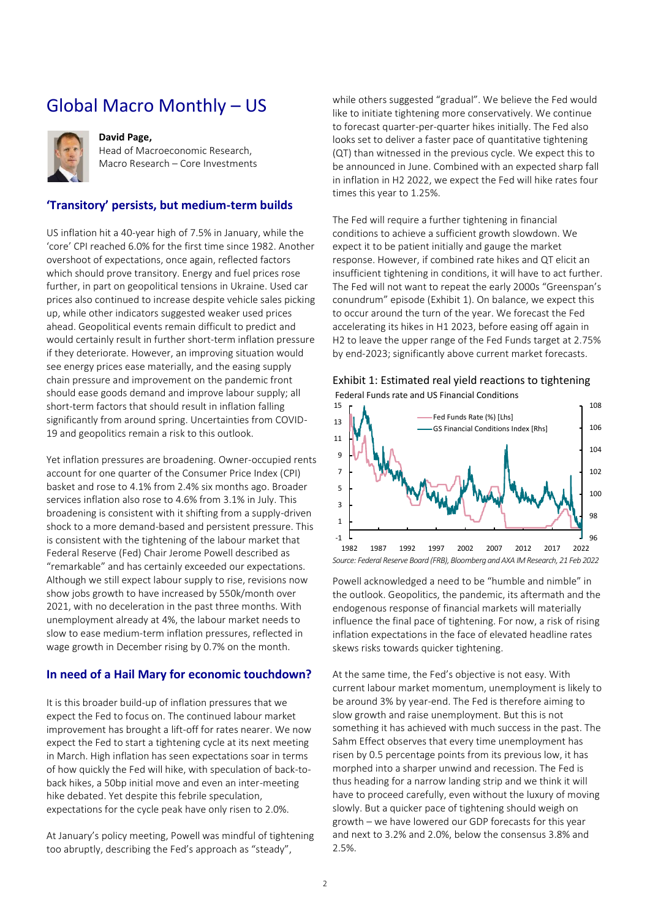# <span id="page-1-0"></span>Global Macro Monthly – US



### **David Page,**

Head of Macroeconomic Research, Macro Research – Core Investments

### **'Transitory' persists, but medium-term builds**

US inflation hit a 40-year high of 7.5% in January, while the 'core' CPI reached 6.0% for the first time since 1982. Another overshoot of expectations, once again, reflected factors which should prove transitory. Energy and fuel prices rose further, in part on geopolitical tensions in Ukraine. Used car prices also continued to increase despite vehicle sales picking up, while other indicators suggested weaker used prices ahead. Geopolitical events remain difficult to predict and would certainly result in further short-term inflation pressure if they deteriorate. However, an improving situation would see energy prices ease materially, and the easing supply chain pressure and improvement on the pandemic front should ease goods demand and improve labour supply; all short-term factors that should result in inflation falling significantly from around spring. Uncertainties from COVID-19 and geopolitics remain a risk to this outlook.

Yet inflation pressures are broadening. Owner-occupied rents account for one quarter of the Consumer Price Index (CPI) basket and rose to 4.1% from 2.4% six months ago. Broader services inflation also rose to 4.6% from 3.1% in July. This broadening is consistent with it shifting from a supply-driven shock to a more demand-based and persistent pressure. This is consistent with the tightening of the labour market that Federal Reserve (Fed) Chair Jerome Powell described as "remarkable" and has certainly exceeded our expectations. Although we still expect labour supply to rise, revisions now show jobs growth to have increased by 550k/month over 2021, with no deceleration in the past three months. With unemployment already at 4%, the labour market needs to slow to ease medium-term inflation pressures, reflected in wage growth in December rising by 0.7% on the month.

### **In need of a Hail Mary for economic touchdown?**

It is this broader build-up of inflation pressures that we expect the Fed to focus on. The continued labour market improvement has brought a lift-off for rates nearer. We now expect the Fed to start a tightening cycle at its next meeting in March. High inflation has seen expectations soar in terms of how quickly the Fed will hike, with speculation of back-toback hikes, a 50bp initial move and even an inter-meeting hike debated. Yet despite this febrile speculation, expectations for the cycle peak have only risen to 2.0%.

At January's policy meeting, Powell was mindful of tightening too abruptly, describing the Fed's approach as "steady",

while others suggested "gradual". We believe the Fed would like to initiate tightening more conservatively. We continue to forecast quarter-per-quarter hikes initially. The Fed also looks set to deliver a faster pace of quantitative tightening (QT) than witnessed in the previous cycle. We expect this to be announced in June. Combined with an expected sharp fall in inflation in H2 2022, we expect the Fed will hike rates four times this year to 1.25%.

The Fed will require a further tightening in financial conditions to achieve a sufficient growth slowdown. We expect it to be patient initially and gauge the market response. However, if combined rate hikes and QT elicit an insufficient tightening in conditions, it will have to act further. The Fed will not want to repeat the early 2000s "Greenspan's conundrum" episode ([Exhibit 1\)](#page-1-1). On balance, we expect this to occur around the turn of the year. We forecast the Fed accelerating its hikes in H1 2023, before easing off again in H2 to leave the upper range of the Fed Funds target at 2.75% by end-2023; significantly above current market forecasts.

#### <span id="page-1-1"></span>Exhibit 1: Estimated real yield reactions to tightening Federal Funds rate and US Financial Conditions



*Source: Federal Reserve Board (FRB), Bloomberg and AXA IM Research, 21 Feb 2022*

Powell acknowledged a need to be "humble and nimble" in the outlook. Geopolitics, the pandemic, its aftermath and the endogenous response of financial markets will materially influence the final pace of tightening. For now, a risk of rising inflation expectations in the face of elevated headline rates skews risks towards quicker tightening.

At the same time, the Fed's objective is not easy. With current labour market momentum, unemployment is likely to be around 3% by year-end. The Fed is therefore aiming to slow growth and raise unemployment. But this is not something it has achieved with much success in the past. The Sahm Effect observes that every time unemployment has risen by 0.5 percentage points from its previous low, it has morphed into a sharper unwind and recession. The Fed is thus heading for a narrow landing strip and we think it will have to proceed carefully, even without the luxury of moving slowly. But a quicker pace of tightening should weigh on growth – we have lowered our GDP forecasts for this year and next to 3.2% and 2.0%, below the consensus 3.8% and 2.5%.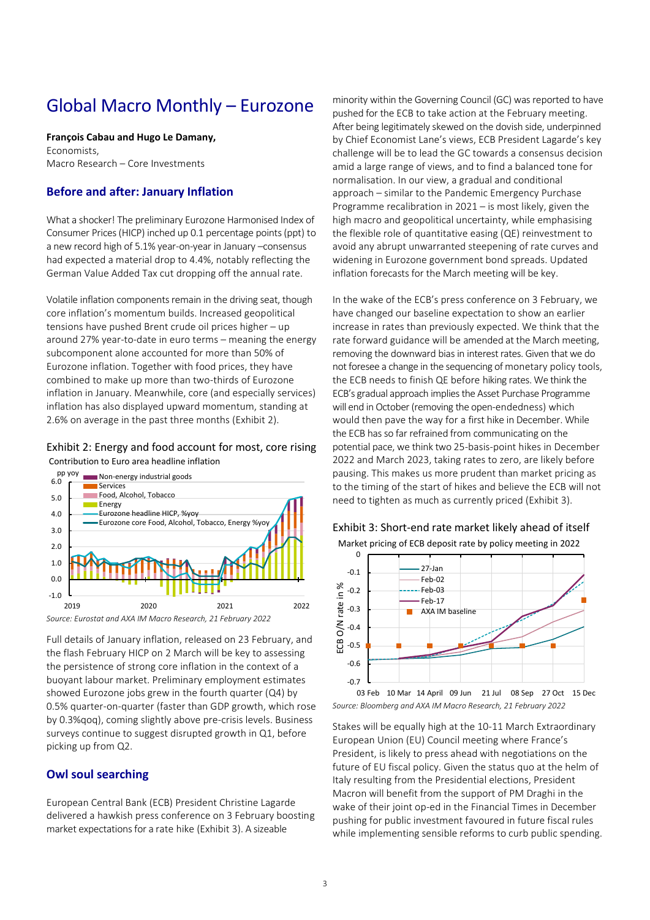# <span id="page-2-0"></span>Global Macro Monthly – Eurozone

**François Cabau and Hugo Le Damany,** 

Economists, Macro Research – Core Investments

### **Before and after: January Inflation**

What a shocker! The preliminary Eurozone Harmonised Index of Consumer Prices (HICP) inched up 0.1 percentage points (ppt) to a new record high of 5.1% year-on-year in January –consensus had expected a material drop to 4.4%, notably reflecting the German Value Added Tax cut dropping off the annual rate.

Volatile inflation components remain in the driving seat, though core inflation's momentum builds. Increased geopolitical tensions have pushed Brent crude oil prices higher – up around 27% year-to-date in euro terms – meaning the energy subcomponent alone accounted for more than 50% of Eurozone inflation. Together with food prices, they have combined to make up more than two-thirds of Eurozone inflation in January. Meanwhile, core (and especially services) inflation has also displayed upward momentum, standing at 2.6% on average in the past three months [\(Exhibit 2\)](#page-2-1).

#### <span id="page-2-1"></span>Exhibit 2: Energy and food account for most, core rising Contribution to Euro area headline inflation

pp yoy



*Source: Eurostat and AXA IM Macro Research, 21 February 2022*

Full details of January inflation, released on 23 February, and the flash February HICP on 2 March will be key to assessing the persistence of strong core inflation in the context of a buoyant labour market. Preliminary employment estimates showed Eurozone jobs grew in the fourth quarter (Q4) by 0.5% quarter-on-quarter (faster than GDP growth, which rose by 0.3%qoq), coming slightly above pre-crisis levels. Business surveys continue to suggest disrupted growth in Q1, before picking up from Q2.

### **Owl soul searching**

European Central Bank (ECB) President Christine Lagarde delivered a hawkish press conference on 3 February boosting market expectations for a rate hike [\(Exhibit 3\)](#page-2-2). A sizeable

minority within the Governing Council (GC) was reported to have pushed for the ECB to take action at the February meeting. After being legitimately skewed on the dovish side, underpinned by Chief Economist Lane's views, ECB President Lagarde's key challenge will be to lead the GC towards a consensus decision amid a large range of views, and to find a balanced tone for normalisation. In our view, a gradual and conditional approach – similar to the Pandemic Emergency Purchase Programme recalibration in 2021 – is most likely, given the high macro and geopolitical uncertainty, while emphasising the flexible role of quantitative easing (QE) reinvestment to avoid any abrupt unwarranted steepening of rate curves and widening in Eurozone government bond spreads. Updated inflation forecasts for the March meeting will be key.

In the wake of the ECB's press conference on 3 February, we have changed our baseline expectation to show an earlier increase in rates than previously expected. We think that the rate forward guidance will be amended at the March meeting, removing the downward bias in interest rates. Given that we do not foresee a change in the sequencing of monetary policy tools, the ECB needs to finish QE before hiking rates. We think the ECB's gradual approach implies the Asset Purchase Programme will end in October (removing the open-endedness) which would then pave the way for a first hike in December. While the ECB has so far refrained from communicating on the potential pace, we think two 25-basis-point hikes in December 2022 and March 2023, taking rates to zero, are likely before pausing. This makes us more prudent than market pricing as to the timing of the start of hikes and believe the ECB will not need to tighten as much as currently priced [\(Exhibit 3\)](#page-2-2).



<span id="page-2-2"></span>Exhibit 3: Short-end rate market likely ahead of itself Market pricing of ECB deposit rate by policy meeting in 2022

*Source: Bloomberg and AXA IM Macro Research, 21 February 2022* 03 Feb 10 Mar 14 April 09 Jun 21 Jul 08 Sep 27 Oct 15 Dec

Stakes will be equally high at the 10-11 March Extraordinary European Union (EU) Council meeting where France's President, is likely to press ahead with negotiations on the future of EU fiscal policy. Given the status quo at the helm of Italy resulting from the Presidential elections, President Macron will benefit from the support of PM Draghi in the wake of their joint op-ed in the Financial Times in December pushing for public investment favoured in future fiscal rules while implementing sensible reforms to curb public spending.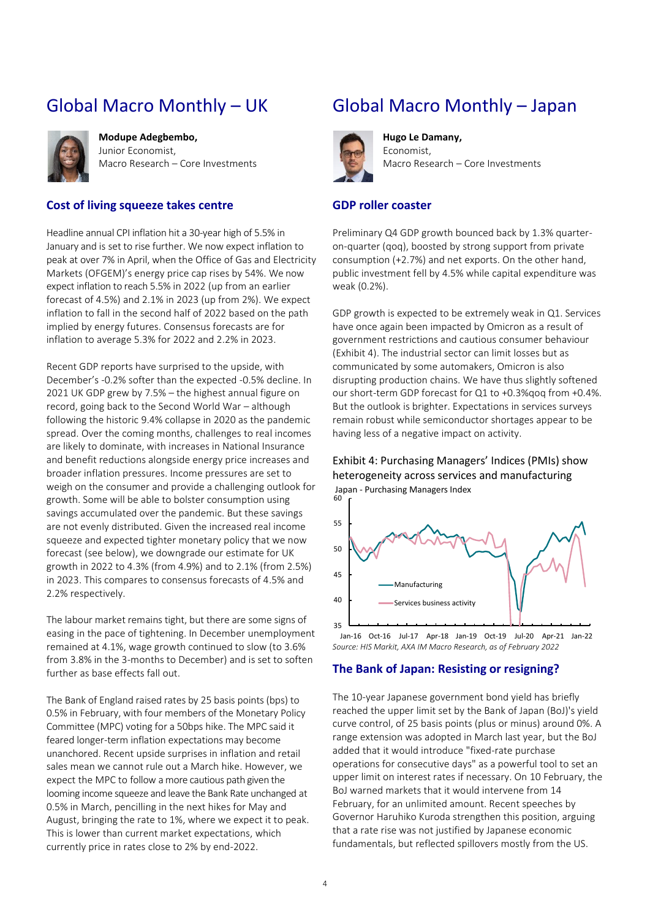# <span id="page-3-0"></span>Global Macro Monthly – UK



**Modupe Adegbembo,**  Junior Economist, Macro Research – Core Investments

### **Cost of living squeeze takes centre**

Headline annual CPI inflation hit a 30-year high of 5.5% in January and is set to rise further. We now expect inflation to peak at over 7% in April, when the Office of Gas and Electricity Markets (OFGEM)'s energy price cap rises by 54%. We now expect inflation to reach 5.5% in 2022 (up from an earlier forecast of 4.5%) and 2.1% in 2023 (up from 2%). We expect inflation to fall in the second half of 2022 based on the path implied by energy futures. Consensus forecasts are for inflation to average 5.3% for 2022 and 2.2% in 2023.

Recent GDP reports have surprised to the upside, with December's -0.2% softer than the expected -0.5% decline. In 2021 UK GDP grew by 7.5% – the highest annual figure on record, going back to the Second World War – although following the historic 9.4% collapse in 2020 as the pandemic spread. Over the coming months, challenges to real incomes are likely to dominate, with increases in National Insurance and benefit reductions alongside energy price increases and broader inflation pressures. Income pressures are set to weigh on the consumer and provide a challenging outlook for growth. Some will be able to bolster consumption using savings accumulated over the pandemic. But these savings are not evenly distributed. Given the increased real income squeeze and expected tighter monetary policy that we now forecast (see below), we downgrade our estimate for UK growth in 2022 to 4.3% (from 4.9%) and to 2.1% (from 2.5%) in 2023. This compares to consensus forecasts of 4.5% and 2.2% respectively.

The labour market remains tight, but there are some signs of easing in the pace of tightening. In December unemployment remained at 4.1%, wage growth continued to slow (to 3.6% from 3.8% in the 3-months to December) and is set to soften further as base effects fall out.

The Bank of England raised rates by 25 basis points (bps) to 0.5% in February, with four members of the Monetary Policy Committee (MPC) voting for a 50bps hike. The MPC said it feared longer-term inflation expectations may become unanchored. Recent upside surprises in inflation and retail sales mean we cannot rule out a March hike. However, we expect the MPC to follow a more cautious path given the looming income squeeze and leave the Bank Rate unchanged at 0.5% in March, pencilling in the next hikes for May and August, bringing the rate to 1%, where we expect it to peak. This is lower than current market expectations, which currently price in rates close to 2% by end-2022.

# <span id="page-3-1"></span>Global Macro Monthly – Japan



**Hugo Le Damany,**  Economist, Macro Research – Core Investments

#### **GDP roller coaster**

Preliminary Q4 GDP growth bounced back by 1.3% quarteron-quarter (qoq), boosted by strong support from private consumption (+2.7%) and net exports. On the other hand, public investment fell by 4.5% while capital expenditure was weak (0.2%).

GDP growth is expected to be extremely weak in Q1. Services have once again been impacted by Omicron as a result of government restrictions and cautious consumer behaviour [\(Exhibit 4\)](#page-3-2). The industrial sector can limit losses but as communicated by some automakers, Omicron is also disrupting production chains. We have thus slightly softened our short-term GDP forecast for Q1 to +0.3%qoq from +0.4%. But the outlook is brighter. Expectations in services surveys remain robust while semiconductor shortages appear to be having less of a negative impact on activity.

<span id="page-3-2"></span>Exhibit 4: Purchasing Managers' Indices (PMIs) show heterogeneity across services and manufacturing Japan - Purchasing Managers Index<br><sup>60</sup> **r** 



*Source: HIS Markit, AXA IM Macro Research, as of February 2022*

### **The Bank of Japan: Resisting or resigning?**

The 10-year Japanese government bond yield has briefly reached the upper limit set by the Bank of Japan (BoJ)'s yield curve control, of 25 basis points (plus or minus) around 0%. A range extension was adopted in March last year, but the BoJ added that it would introduce "fixed-rate purchase operations for consecutive days" as a powerful tool to set an upper limit on interest rates if necessary. On 10 February, the BoJ warned markets that it would intervene from 14 February, for an unlimited amount. Recent speeches by Governor Haruhiko Kuroda strengthen this position, arguing that a rate rise was not justified by Japanese economic fundamentals, but reflected spillovers mostly from the US.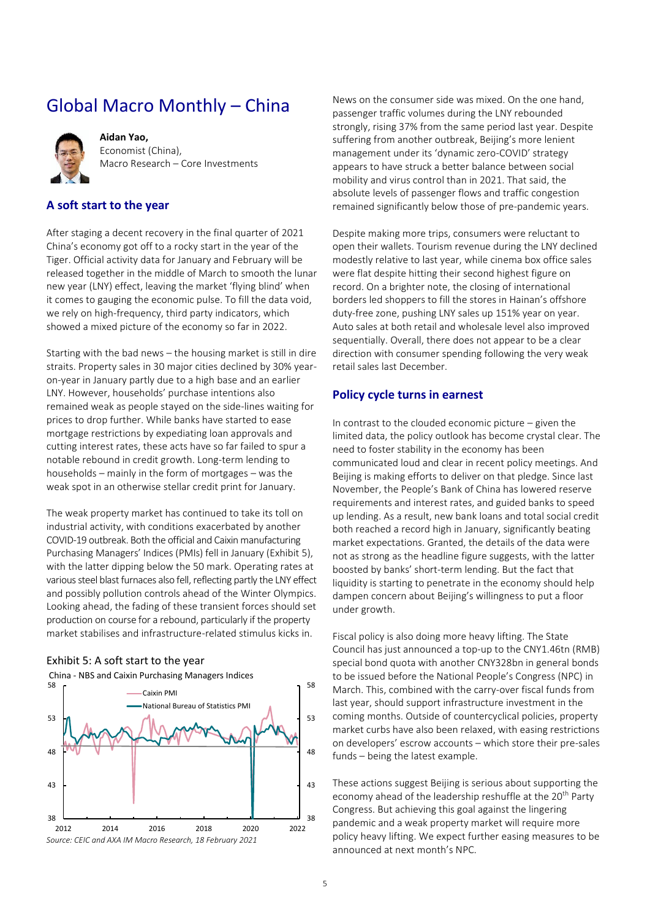# <span id="page-4-0"></span>Global Macro Monthly – China



**Aidan Yao,**  Economist (China), Macro Research – Core Investments

### **A soft start to the year**

After staging a decent recovery in the final quarter of 2021 China's economy got off to a rocky start in the year of the Tiger. Official activity data for January and February will be released together in the middle of March to smooth the lunar new year (LNY) effect, leaving the market 'flying blind' when it comes to gauging the economic pulse. To fill the data void, we rely on high-frequency, third party indicators, which showed a mixed picture of the economy so far in 2022.

Starting with the bad news – the housing market is still in dire straits. Property sales in 30 major cities declined by 30% yearon-year in January partly due to a high base and an earlier LNY. However, households' purchase intentions also remained weak as people stayed on the side-lines waiting for prices to drop further. While banks have started to ease mortgage restrictions by expediating loan approvals and cutting interest rates, these acts have so far failed to spur a notable rebound in credit growth. Long-term lending to households – mainly in the form of mortgages – was the weak spot in an otherwise stellar credit print for January.

The weak property market has continued to take its toll on industrial activity, with conditions exacerbated by another COVID-19 outbreak. Both the official and Caixin manufacturing Purchasing Managers' Indices (PMIs) fell in January [\(Exhibit 5\)](#page-4-1), with the latter dipping below the 50 mark. Operating rates at various steel blast furnaces also fell, reflecting partly the LNY effect and possibly pollution controls ahead of the Winter Olympics. Looking ahead, the fading of these transient forces should set production on course for a rebound, particularly if the property market stabilises and infrastructure-related stimulus kicks in.



#### <span id="page-4-1"></span>Exhibit 5: A soft start to the year

News on the consumer side was mixed. On the one hand, passenger traffic volumes during the LNY rebounded strongly, rising 37% from the same period last year. Despite suffering from another outbreak, Beijing's more lenient management under its 'dynamic zero-COVID' strategy appears to have struck a better balance between social mobility and virus control than in 2021. That said, the absolute levels of passenger flows and traffic congestion remained significantly below those of pre-pandemic years.

Despite making more trips, consumers were reluctant to open their wallets. Tourism revenue during the LNY declined modestly relative to last year, while cinema box office sales were flat despite hitting their second highest figure on record. On a brighter note, the closing of international borders led shoppers to fill the stores in Hainan's offshore duty-free zone, pushing LNY sales up 151% year on year. Auto sales at both retail and wholesale level also improved sequentially. Overall, there does not appear to be a clear direction with consumer spending following the very weak retail sales last December.

### **Policy cycle turns in earnest**

In contrast to the clouded economic picture  $-$  given the limited data, the policy outlook has become crystal clear. The need to foster stability in the economy has been communicated loud and clear in recent policy meetings. And Beijing is making efforts to deliver on that pledge. Since last November, the People's Bank of China has lowered reserve requirements and interest rates, and guided banks to speed up lending. As a result, new bank loans and total social credit both reached a record high in January, significantly beating market expectations. Granted, the details of the data were not as strong as the headline figure suggests, with the latter boosted by banks' short-term lending. But the fact that liquidity is starting to penetrate in the economy should help dampen concern about Beijing's willingness to put a floor under growth.

Fiscal policy is also doing more heavy lifting. The State Council has just announced a top-up to the CNY1.46tn (RMB) special bond quota with another CNY328bn in general bonds to be issued before the National People's Congress (NPC) in March. This, combined with the carry-over fiscal funds from last year, should support infrastructure investment in the coming months. Outside of countercyclical policies, property market curbs have also been relaxed, with easing restrictions on developers' escrow accounts – which store their pre-sales funds – being the latest example.

These actions suggest Beijing is serious about supporting the economy ahead of the leadership reshuffle at the 20<sup>th</sup> Party Congress. But achieving this goal against the lingering pandemic and a weak property market will require more policy heavy lifting. We expect further easing measures to be announced at next month's NPC.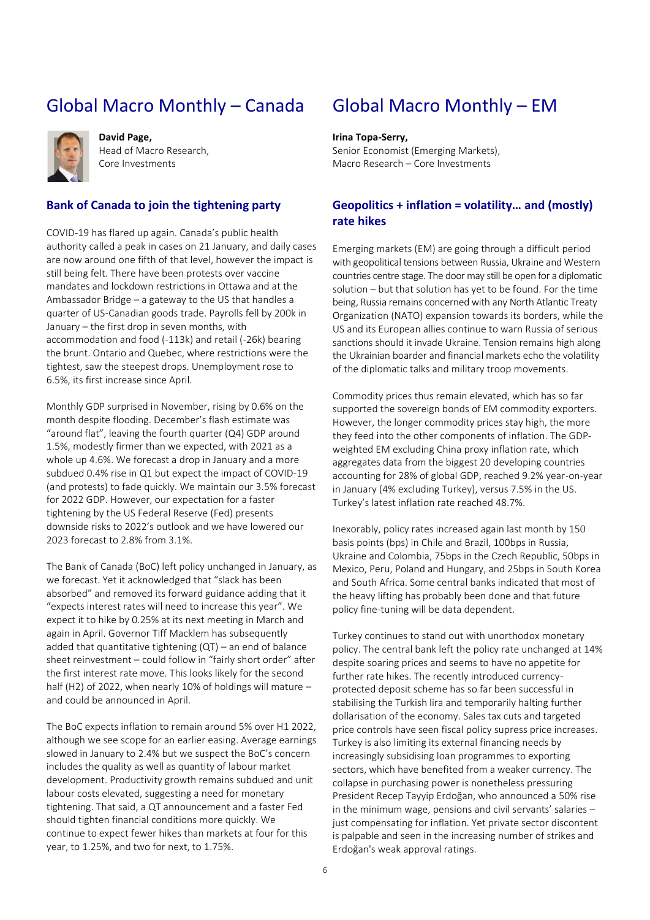# Global Macro Monthly – Canada



**David Page,**  Head of Macro Research, Core Investments

### **Bank of Canada to join the tightening party**

COVID-19 has flared up again. Canada's public health authority called a peak in cases on 21 January, and daily cases are now around one fifth of that level, however the impact is still being felt. There have been protests over vaccine mandates and lockdown restrictions in Ottawa and at the Ambassador Bridge – a gateway to the US that handles a quarter of US-Canadian goods trade. Payrolls fell by 200k in January – the first drop in seven months, with accommodation and food (-113k) and retail (-26k) bearing the brunt. Ontario and Quebec, where restrictions were the tightest, saw the steepest drops. Unemployment rose to 6.5%, its first increase since April.

Monthly GDP surprised in November, rising by 0.6% on the month despite flooding. December's flash estimate was "around flat", leaving the fourth quarter (Q4) GDP around 1.5%, modestly firmer than we expected, with 2021 as a whole up 4.6%. We forecast a drop in January and a more subdued 0.4% rise in Q1 but expect the impact of COVID-19 (and protests) to fade quickly. We maintain our 3.5% forecast for 2022 GDP. However, our expectation for a faster tightening by the US Federal Reserve (Fed) presents downside risks to 2022's outlook and we have lowered our 2023 forecast to 2.8% from 3.1%.

The Bank of Canada (BoC) left policy unchanged in January, as we forecast. Yet it acknowledged that "slack has been absorbed" and removed its forward guidance adding that it "expects interest rates will need to increase this year". We expect it to hike by 0.25% at its next meeting in March and again in April. Governor Tiff Macklem has subsequently added that quantitative tightening  $(QT)$  – an end of balance sheet reinvestment – could follow in "fairly short order" after the first interest rate move. This looks likely for the second half (H2) of 2022, when nearly 10% of holdings will mature – and could be announced in April.

The BoC expects inflation to remain around 5% over H1 2022, although we see scope for an earlier easing. Average earnings slowed in January to 2.4% but we suspect the BoC's concern includes the quality as well as quantity of labour market development. Productivity growth remains subdued and unit labour costs elevated, suggesting a need for monetary tightening. That said, a QT announcement and a faster Fed should tighten financial conditions more quickly. We continue to expect fewer hikes than markets at four for this year, to 1.25%, and two for next, to 1.75%.

# <span id="page-5-0"></span>Global Macro Monthly – EM

#### **Irina Topa-Serry,**

Senior Economist (Emerging Markets), Macro Research – Core Investments

### **Geopolitics + inflation = volatility… and (mostly) rate hikes**

Emerging markets (EM) are going through a difficult period with geopolitical tensions between Russia, Ukraine and Western countries centre stage. The door may still be open for a diplomatic solution – but that solution has yet to be found. For the time being, Russia remains concerned with any North Atlantic Treaty Organization (NATO) expansion towards its borders, while the US and its European allies continue to warn Russia of serious sanctions should it invade Ukraine. Tension remains high along the Ukrainian boarder and financial markets echo the volatility of the diplomatic talks and military troop movements.

Commodity prices thus remain elevated, which has so far supported the sovereign bonds of EM commodity exporters. However, the longer commodity prices stay high, the more they feed into the other components of inflation. The GDPweighted EM excluding China proxy inflation rate, which aggregates data from the biggest 20 developing countries accounting for 28% of global GDP, reached 9.2% year-on-year in January (4% excluding Turkey), versus 7.5% in the US. Turkey's latest inflation rate reached 48.7%.

Inexorably, policy rates increased again last month by 150 basis points (bps) in Chile and Brazil, 100bps in Russia, Ukraine and Colombia, 75bps in the Czech Republic, 50bps in Mexico, Peru, Poland and Hungary, and 25bps in South Korea and South Africa. Some central banks indicated that most of the heavy lifting has probably been done and that future policy fine-tuning will be data dependent.

Turkey continues to stand out with unorthodox monetary policy. The central bank left the policy rate unchanged at 14% despite soaring prices and seems to have no appetite for further rate hikes. The recently introduced currencyprotected deposit scheme has so far been successful in stabilising the Turkish lira and temporarily halting further dollarisation of the economy. Sales tax cuts and targeted price controls have seen fiscal policy supress price increases. Turkey is also limiting its external financing needs by increasingly subsidising loan programmes to exporting sectors, which have benefited from a weaker currency. The collapse in purchasing power is nonetheless pressuring President Recep Tayyip Erdoğan, who announced a 50% rise in the minimum wage, pensions and civil servants' salaries – just compensating for inflation. Yet private sector discontent is palpable and seen in the increasing number of strikes and Erdoğan's weak approval ratings.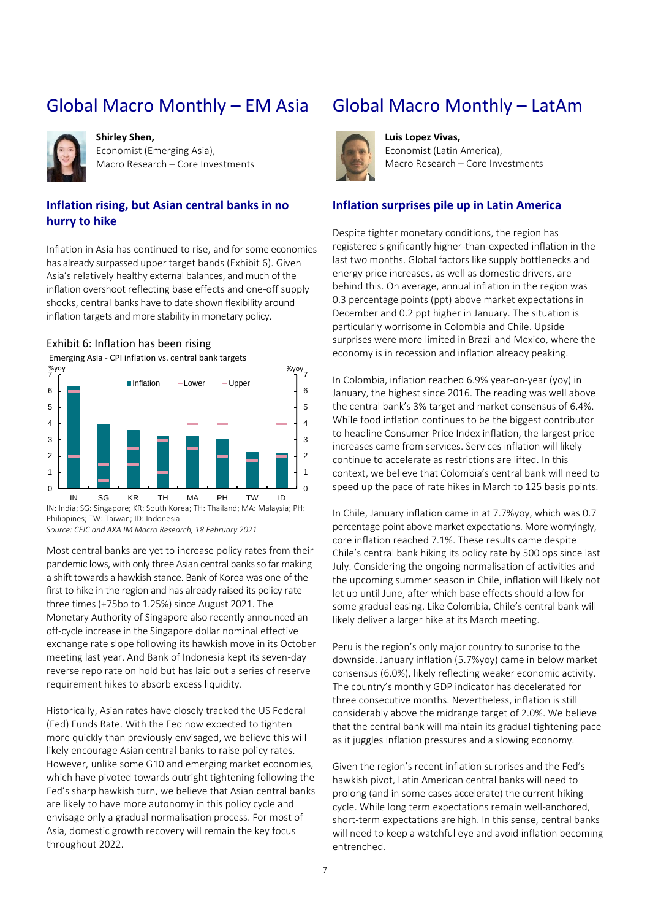# Global Macro Monthly – EM Asia



**Shirley Shen,**  Economist (Emerging Asia), Macro Research – Core Investments

### **Inflation rising, but Asian central banks in no hurry to hike**

Inflation in Asia has continued to rise, and for some economies has already surpassed upper target bands [\(Exhibit 6\)](#page-6-0). Given Asia's relatively healthy external balances, and much of the inflation overshoot reflecting base effects and one-off supply shocks, central banks have to date shown flexibility around inflation targets and more stability in monetary policy.

### <span id="page-6-0"></span>Exhibit 6: Inflation has been rising

Emerging Asia - CPI inflation vs. central bank targets



Philippines; TW: Taiwan; ID: Indonesia *Source: CEIC and AXA IM Macro Research, 18 February 2021*

Most central banks are yet to increase policy rates from their pandemic lows, with only three Asian central banks so far making a shift towards a hawkish stance. Bank of Korea was one of the first to hike in the region and has already raised its policy rate three times (+75bp to 1.25%) since August 2021. The Monetary Authority of Singapore also recently announced an off-cycle increase in the Singapore dollar nominal effective exchange rate slope following its hawkish move in its October meeting last year. And Bank of Indonesia kept its seven-day reverse repo rate on hold but has laid out a series of reserve requirement hikes to absorb excess liquidity.

Historically, Asian rates have closely tracked the US Federal (Fed) Funds Rate. With the Fed now expected to tighten more quickly than previously envisaged, we believe this will likely encourage Asian central banks to raise policy rates. However, unlike some G10 and emerging market economies, which have pivoted towards outright tightening following the Fed's sharp hawkish turn, we believe that Asian central banks are likely to have more autonomy in this policy cycle and envisage only a gradual normalisation process. For most of Asia, domestic growth recovery will remain the key focus throughout 2022.

# Global Macro Monthly – LatAm



**Luis Lopez Vivas,**  Economist (Latin America), Macro Research – Core Investments

### **Inflation surprises pile up in Latin America**

Despite tighter monetary conditions, the region has registered significantly higher-than-expected inflation in the last two months. Global factors like supply bottlenecks and energy price increases, as well as domestic drivers, are behind this. On average, annual inflation in the region was 0.3 percentage points (ppt) above market expectations in December and 0.2 ppt higher in January. The situation is particularly worrisome in Colombia and Chile. Upside surprises were more limited in Brazil and Mexico, where the economy is in recession and inflation already peaking.

In Colombia, inflation reached 6.9% year-on-year (yoy) in January, the highest since 2016. The reading was well above the central bank's 3% target and market consensus of 6.4%. While food inflation continues to be the biggest contributor to headline Consumer Price Index inflation, the largest price increases came from services. Services inflation will likely continue to accelerate as restrictions are lifted. In this context, we believe that Colombia's central bank will need to speed up the pace of rate hikes in March to 125 basis points.

In Chile, January inflation came in at 7.7%yoy, which was 0.7 percentage point above market expectations. More worryingly, core inflation reached 7.1%. These results came despite Chile's central bank hiking its policy rate by 500 bps since last July. Considering the ongoing normalisation of activities and the upcoming summer season in Chile, inflation will likely not let up until June, after which base effects should allow for some gradual easing. Like Colombia, Chile's central bank will likely deliver a larger hike at its March meeting.

Peru is the region's only major country to surprise to the downside. January inflation (5.7%yoy) came in below market consensus (6.0%), likely reflecting weaker economic activity. The country's monthly GDP indicator has decelerated for three consecutive months. Nevertheless, inflation is still considerably above the midrange target of 2.0%. We believe that the central bank will maintain its gradual tightening pace as it juggles inflation pressures and a slowing economy.

Given the region's recent inflation surprises and the Fed's hawkish pivot, Latin American central banks will need to prolong (and in some cases accelerate) the current hiking cycle. While long term expectations remain well-anchored, short-term expectations are high. In this sense, central banks will need to keep a watchful eye and avoid inflation becoming entrenched.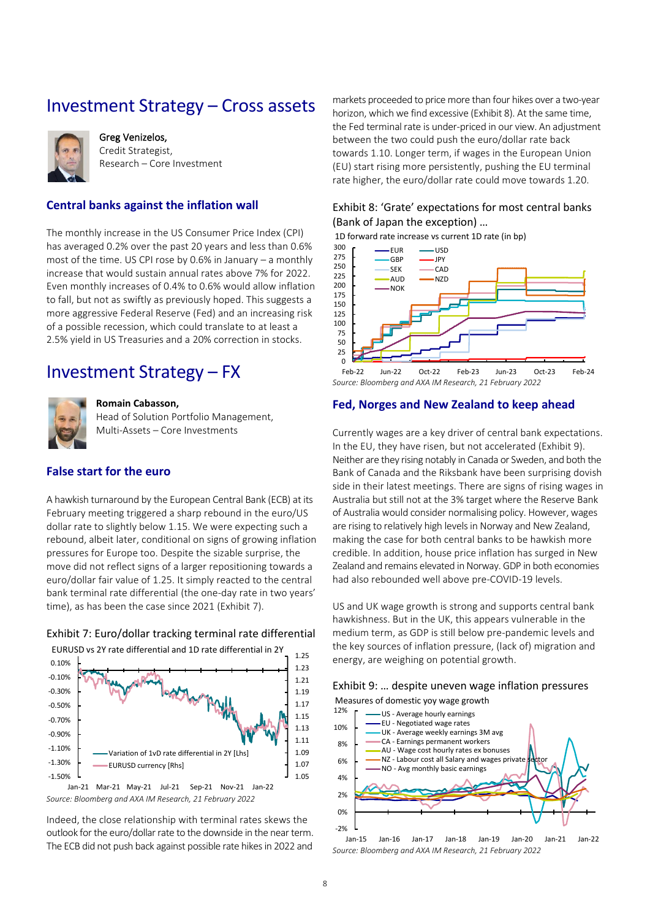### <span id="page-7-0"></span>Investment Strategy – Cross assets



Greg Venizelos, Credit Strategist, Research – Core Investment

### **Central banks against the inflation wall**

The monthly increase in the US Consumer Price Index (CPI) has averaged 0.2% over the past 20 years and less than 0.6% most of the time. US CPI rose by 0.6% in January – a monthly increase that would sustain annual rates above 7% for 2022. Even monthly increases of 0.4% to 0.6% would allow inflation to fall, but not as swiftly as previously hoped. This suggests a more aggressive Federal Reserve (Fed) and an increasing risk of a possible recession, which could translate to at least a 2.5% yield in US Treasuries and a 20% correction in stocks.

### <span id="page-7-1"></span>Investment Strategy – FX



#### **Romain Cabasson,**

Head of Solution Portfolio Management, Multi-Assets – Core Investments

### **False start for the euro**

A hawkish turnaround by the European Central Bank (ECB) at its February meeting triggered a sharp rebound in the euro/US dollar rate to slightly below 1.15. We were expecting such a rebound, albeit later, conditional on signs of growing inflation pressures for Europe too. Despite the sizable surprise, the move did not reflect signs of a larger repositioning towards a euro/dollar fair value of 1.25. It simply reacted to the central bank terminal rate differential (the one-day rate in two years' time), as has been the case since 2021 [\(Exhibit 7\)](#page-7-2).



<span id="page-7-2"></span>

*Source: Bloomberg and AXA IM Research, 21 February 2022* Jan-21 Mar-21 May-21 Jul-21 Sep-21 Nov-21 Jan-22

Indeed, the close relationship with terminal rates skews the outlook for the euro/dollar rate to the downside in the near term. The ECB did not push back against possible rate hikes in 2022 and

markets proceeded to price more than four hikes over a two-year horizon, which we find excessive [\(Exhibit 8\)](#page-7-3). At the same time, the Fed terminal rate is under-priced in our view. An adjustment between the two could push the euro/dollar rate back towards 1.10. Longer term, if wages in the European Union (EU) start rising more persistently, pushing the EU terminal rate higher, the euro/dollar rate could move towards 1.20.

### <span id="page-7-3"></span>Exhibit 8: 'Grate' expectations for most central banks (Bank of Japan the exception) …





*Source: Bloomberg and AXA IM Research, 21 February 2022*

#### **Fed, Norges and New Zealand to keep ahead**

Currently wages are a key driver of central bank expectations. In the EU, they have risen, but not accelerated [\(Exhibit 9\)](#page-7-4). Neither are they rising notably in Canada or Sweden, and both the Bank of Canada and the Riksbank have been surprising dovish side in their latest meetings. There are signs of rising wages in Australia but still not at the 3% target where the Reserve Bank of Australia would consider normalising policy. However, wages are rising to relatively high levels in Norway and New Zealand, making the case for both central banks to be hawkish more credible. In addition, house price inflation has surged in New Zealand and remains elevated in Norway. GDP in both economies had also rebounded well above pre-COVID-19 levels.

US and UK wage growth is strong and supports central bank hawkishness. But in the UK, this appears vulnerable in the medium term, as GDP is still below pre-pandemic levels and the key sources of inflation pressure, (lack of) migration and energy, are weighing on potential growth.

#### <span id="page-7-4"></span>Exhibit 9: … despite uneven wage inflation pressures

Measures of domestic yoy wage growth



*Source: Bloomberg and AXA IM Research, 21 February 2022* Jan-15 Jan-16 Jan-17 Jan-18 Jan-19 Jan-20 Jan-21 Jan-22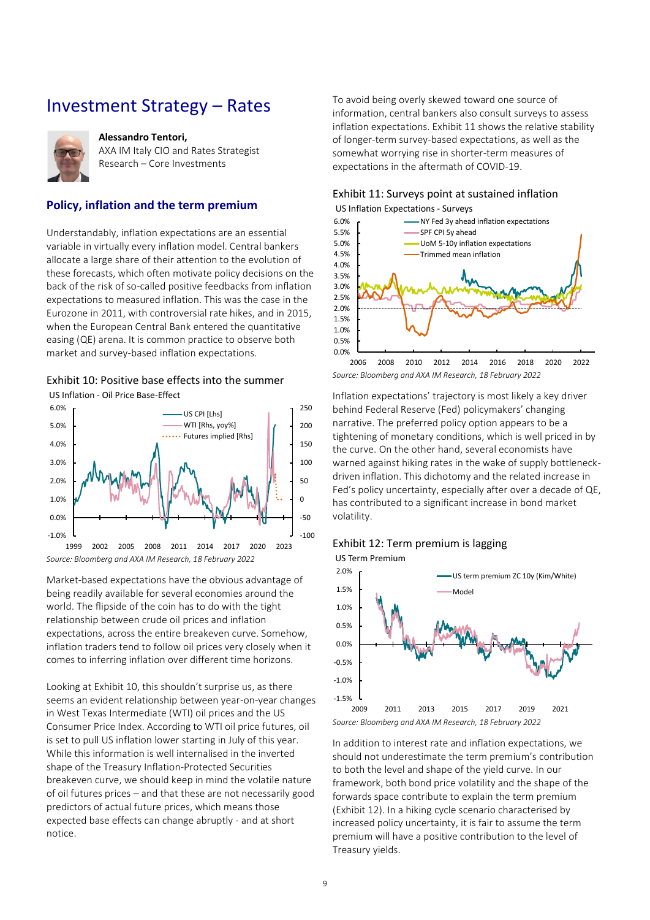### <span id="page-8-0"></span>Investment Strategy – Rates



#### **Alessandro Tentori,**

AXA IM Italy CIO and Rates Strategist Research – Core Investments

### **Policy, inflation and the term premium**

Understandably, inflation expectations are an essential variable in virtually every inflation model. Central bankers allocate a large share of their attention to the evolution of these forecasts, which often motivate policy decisions on the back of the risk of so-called positive feedbacks from inflation expectations to measured inflation. This was the case in the Eurozone in 2011, with controversial rate hikes, and in 2015, when the European Central Bank entered the quantitative easing (QE) arena. It is common practice to observe both market and survey-based inflation expectations.

### <span id="page-8-1"></span>Exhibit 10: Positive base effects into the summer

US Inflation - Oil Price Base-Effect



Market-based expectations have the obvious advantage of being readily available for several economies around the world. The flipside of the coin has to do with the tight relationship between crude oil prices and inflation expectations, across the entire breakeven curve. Somehow, inflation traders tend to follow oil prices very closely when it

comes to inferring inflation over different time horizons.

Looking at [Exhibit 10](#page-8-1), this shouldn't surprise us, as there seems an evident relationship between year-on-year changes in West Texas Intermediate (WTI) oil prices and the US Consumer Price Index. According to WTI oil price futures, oil is set to pull US inflation lower starting in July of this year. While this information is well internalised in the inverted shape of the Treasury Inflation-Protected Securities breakeven curve, we should keep in mind the volatile nature of oil futures prices – and that these are not necessarily good predictors of actual future prices, which means those expected base effects can change abruptly - and at short notice.

To avoid being overly skewed toward one source of information, central bankers also consult surveys to assess inflation expectations. [Exhibit 11](#page-8-2) shows the relative stability of longer-term survey-based expectations, as well as the somewhat worrying rise in shorter-term measures of expectations in the aftermath of COVID-19.

### <span id="page-8-2"></span>Exhibit 11: Surveys point at sustained inflation US Inflation Expectations - Surveys



*Source: Bloomberg and AXA IM Research, 18 February 2022*

Inflation expectations' trajectory is most likely a key driver behind Federal Reserve (Fed) policymakers' changing narrative. The preferred policy option appears to be a tightening of monetary conditions, which is well priced in by the curve. On the other hand, several economists have warned against hiking rates in the wake of supply bottleneckdriven inflation. This dichotomy and the related increase in Fed's policy uncertainty, especially after over a decade of QE, has contributed to a significant increase in bond market volatility.

### <span id="page-8-3"></span>Exhibit 12: Term premium is lagging



In addition to interest rate and inflation expectations, we should not underestimate the term premium's contribution to both the level and shape of the yield curve. In our framework, both bond price volatility and the shape of the forwards space contribute to explain the term premium [\(Exhibit 12\)](#page-8-3). In a hiking cycle scenario characterised by increased policy uncertainty, it is fair to assume the term premium will have a positive contribution to the level of Treasury yields.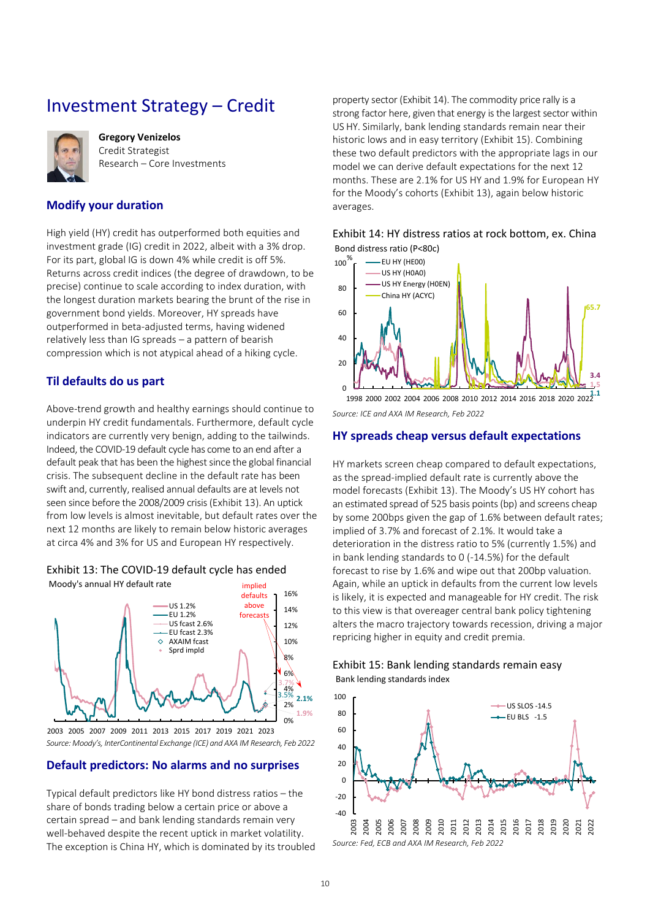# <span id="page-9-0"></span>Investment Strategy – Credit



**Gregory Venizelos** Credit Strategist Research – Core Investments

### **Modify your duration**

High yield (HY) credit has outperformed both equities and investment grade (IG) credit in 2022, albeit with a 3% drop. For its part, global IG is down 4% while credit is off 5%. Returns across credit indices (the degree of drawdown, to be precise) continue to scale according to index duration, with the longest duration markets bearing the brunt of the rise in government bond yields. Moreover, HY spreads have outperformed in beta-adjusted terms, having widened relatively less than IG spreads – a pattern of bearish compression which is not atypical ahead of a hiking cycle.

### **Til defaults do us part**

Above-trend growth and healthy earnings should continue to underpin HY credit fundamentals. Furthermore, default cycle indicators are currently very benign, adding to the tailwinds. Indeed, the COVID-19 default cycle has come to an end after a default peak that has been the highest since the global financial crisis. The subsequent decline in the default rate has been swift and, currently, realised annual defaults are at levels not seen since before the 2008/2009 crisis [\(Exhibit 13\)](#page-9-1). An uptick from low levels is almost inevitable, but default rates over the next 12 months are likely to remain below historic averages at circa 4% and 3% for US and European HY respectively.

### <span id="page-9-1"></span>Exhibit 13: The COVID-19 default cycle has ended



*Source: Moody's, InterContinental Exchange (ICE) and AXA IM Research, Feb 2022* 2003 2005 2007 2009 2011 2013 2015 2017 2019 2021 2023

### **Default predictors: No alarms and no surprises**

Typical default predictors like HY bond distress ratios – the share of bonds trading below a certain price or above a certain spread – and bank lending standards remain very well-behaved despite the recent uptick in market volatility. The exception is China HY, which is dominated by its troubled

property sector [\(Exhibit 14\)](#page-9-2). The commodity price rally is a strong factor here, given that energy is the largest sector within US HY. Similarly, bank lending standards remain near their historic lows and in easy territory [\(Exhibit 15\)](#page-9-3). Combining these two default predictors with the appropriate lags in our model we can derive default expectations for the next 12 months. These are 2.1% for US HY and 1.9% for European HY for the Moody's cohorts ([Exhibit 13\)](#page-9-1), again below historic averages.

<span id="page-9-2"></span>



*Source: ICE and AXA IM Research, Feb 2022* **1.1** 1998 2000 2002 2004 2006 2008 2010 2012 2014 2016 2018 2020 2022

### **HY spreads cheap versus default expectations**

HY markets screen cheap compared to default expectations, as the spread-implied default rate is currently above the model forecasts [\(Exhibit 13](#page-9-1)). The Moody's US HY cohort has an estimated spread of 525 basis points (bp) and screens cheap by some 200bps given the gap of 1.6% between default rates; implied of 3.7% and forecast of 2.1%. It would take a deterioration in the distress ratio to 5% (currently 1.5%) and in bank lending standards to 0 (-14.5%) for the default forecast to rise by 1.6% and wipe out that 200bp valuation. Again, while an uptick in defaults from the current low levels is likely, it is expected and manageable for HY credit. The risk to this view is that overeager central bank policy tightening alters the macro trajectory towards recession, driving a major repricing higher in equity and credit premia.

<span id="page-9-3"></span>

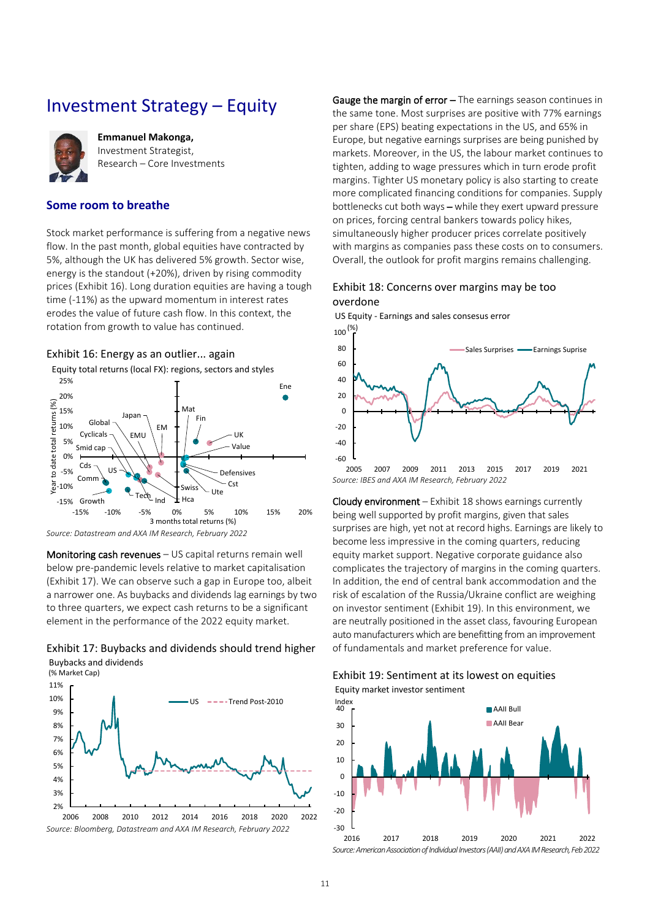### <span id="page-10-0"></span>Investment Strategy – Equity



**Emmanuel Makonga,**  Investment Strategist, Research – Core Investments

### **Some room to breathe**

Stock market performance is suffering from a negative news flow. In the past month, global equities have contracted by 5%, although the UK has delivered 5% growth. Sector wise, energy is the standout (+20%), driven by rising commodity prices [\(Exhibit 16\)](#page-10-1). Long duration equities are having a tough time (-11%) as the upward momentum in interest rates erodes the value of future cash flow. In this context, the rotation from growth to value has continued.

<span id="page-10-1"></span>



*Source: Datastream and AXA IM Research, February 2022*

Monitoring cash revenues – US capital returns remain well below pre-pandemic levels relative to market capitalisation [\(Exhibit 17\)](#page-10-2). We can observe such a gap in Europe too, albeit a narrower one. As buybacks and dividends lag earnings by two to three quarters, we expect cash returns to be a significant element in the performance of the 2022 equity market.

<span id="page-10-2"></span>



Gauge the margin of error – The earnings season continues in the same tone. Most surprises are positive with 77% earnings per share (EPS) beating expectations in the US, and 65% in Europe, but negative earnings surprises are being punished by markets. Moreover, in the US, the labour market continues to tighten, adding to wage pressures which in turn erode profit margins. Tighter US monetary policy is also starting to create more complicated financing conditions for companies. Supply bottlenecks cut both ways – while they exert upward pressure on prices, forcing central bankers towards policy hikes, simultaneously higher producer prices correlate positively with margins as companies pass these costs on to consumers. Overall, the outlook for profit margins remains challenging.

### <span id="page-10-3"></span>Exhibit 18: Concerns over margins may be too overdone

*Source: IBES and AXA IM Research, February 2022* -60  $-40$ -20 0 20 40 60  $80$  $100\frac{(\%)}{5}$ 2005 2007 2009 2011 2013 2015 2017 2019 2021 US Equity - Earnings and sales consesus error Sales Surprises **-** Earnings Suprise

Cloudy environment – [Exhibit 18](#page-10-3) shows earnings currently being well supported by profit margins, given that sales surprises are high, yet not at record highs. Earnings are likely to become less impressive in the coming quarters, reducing equity market support. Negative corporate guidance also complicates the trajectory of margins in the coming quarters. In addition, the end of central bank accommodation and the risk of escalation of the Russia/Ukraine conflict are weighing on investor sentiment [\(Exhibit 19\)](#page-10-4). In this environment, we are neutrally positioned in the asset class, favouring European auto manufacturers which are benefitting from an improvement of fundamentals and market preference for value.

### <span id="page-10-4"></span>Exhibit 19: Sentiment at its lowest on equities

Equity market investor sentiment

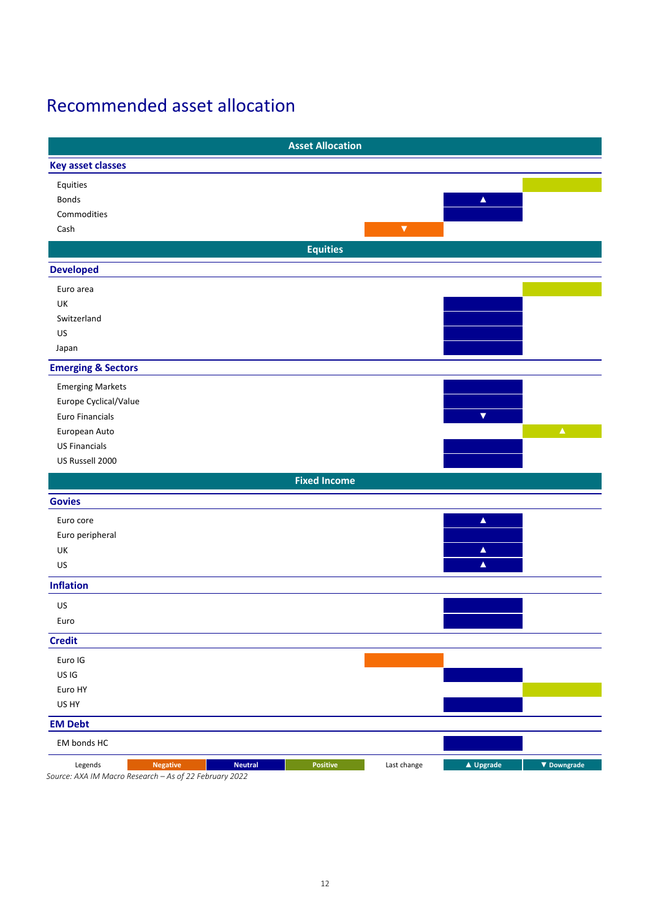# <span id="page-11-0"></span>Recommended asset allocation

|                               |                                                     |                | <b>Asset Allocation</b> |                      |                      |                    |
|-------------------------------|-----------------------------------------------------|----------------|-------------------------|----------------------|----------------------|--------------------|
| <b>Key asset classes</b>      |                                                     |                |                         |                      |                      |                    |
| Equities                      |                                                     |                |                         |                      |                      |                    |
| Bonds                         |                                                     |                |                         |                      | $\blacktriangle$     |                    |
| Commodities                   |                                                     |                |                         |                      |                      |                    |
| Cash                          |                                                     |                |                         | $\blacktriangledown$ |                      |                    |
|                               |                                                     |                | <b>Equities</b>         |                      |                      |                    |
| <b>Developed</b>              |                                                     |                |                         |                      |                      |                    |
| Euro area                     |                                                     |                |                         |                      |                      |                    |
| UK                            |                                                     |                |                         |                      |                      |                    |
| Switzerland                   |                                                     |                |                         |                      |                      |                    |
| US                            |                                                     |                |                         |                      |                      |                    |
| Japan                         |                                                     |                |                         |                      |                      |                    |
| <b>Emerging &amp; Sectors</b> |                                                     |                |                         |                      |                      |                    |
| <b>Emerging Markets</b>       |                                                     |                |                         |                      |                      |                    |
| Europe Cyclical/Value         |                                                     |                |                         |                      |                      |                    |
| Euro Financials               |                                                     |                |                         |                      | $\blacktriangledown$ |                    |
| European Auto                 |                                                     |                |                         |                      |                      | $\blacktriangle$   |
| <b>US Financials</b>          |                                                     |                |                         |                      |                      |                    |
| US Russell 2000               |                                                     |                |                         |                      |                      |                    |
|                               |                                                     |                | <b>Fixed Income</b>     |                      |                      |                    |
| <b>Govies</b>                 |                                                     |                |                         |                      |                      |                    |
| Euro core                     |                                                     |                |                         |                      | $\blacktriangle$     |                    |
| Euro peripheral               |                                                     |                |                         |                      |                      |                    |
| UK                            |                                                     |                |                         |                      | $\blacktriangle$     |                    |
| US                            |                                                     |                |                         |                      | $\blacktriangle$     |                    |
| <b>Inflation</b>              |                                                     |                |                         |                      |                      |                    |
| US                            |                                                     |                |                         |                      |                      |                    |
| Euro                          |                                                     |                |                         |                      |                      |                    |
| <b>Credit</b>                 |                                                     |                |                         |                      |                      |                    |
| Euro IG                       |                                                     |                |                         |                      |                      |                    |
| US IG                         |                                                     |                |                         |                      |                      |                    |
| Euro HY                       |                                                     |                |                         |                      |                      |                    |
| US HY                         |                                                     |                |                         |                      |                      |                    |
| <b>EM Debt</b>                |                                                     |                |                         |                      |                      |                    |
| EM bonds HC                   |                                                     |                |                         |                      |                      |                    |
| Legends                       | <b>Negative</b>                                     | <b>Neutral</b> | Positive                | Last change          | ▲ Upgrade            | $\nabla$ Downgrade |
|                               | Course: AVA IMMassa Pescarsh As of 22 February 2022 |                |                         |                      |                      |                    |

*Source: AXA IM Macro Research – As of 22 February 2022*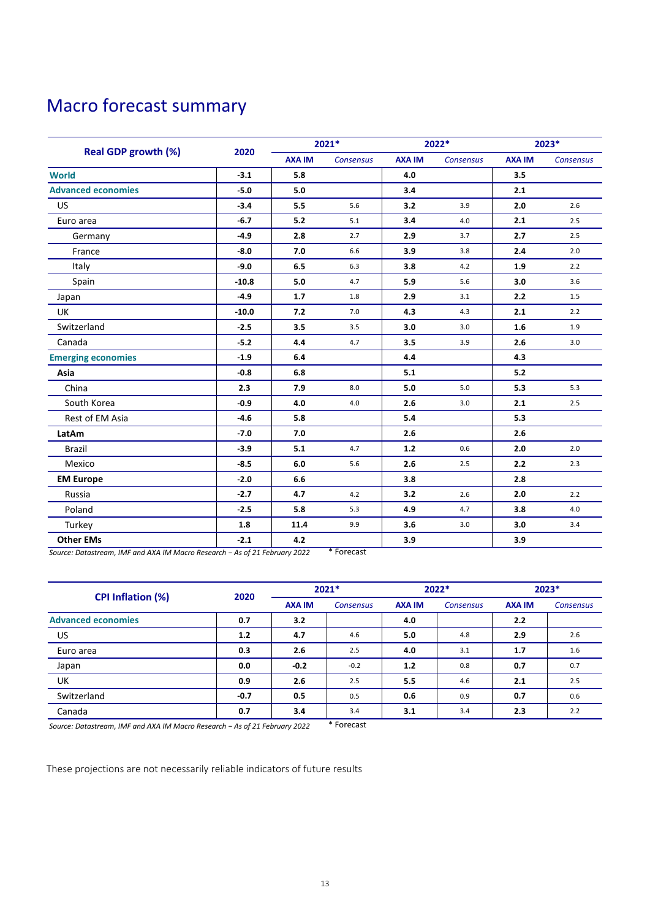# <span id="page-12-0"></span>Macro forecast summary

|                            | 2020    | 2021*         |           | 2022*         |                  | 2023*         |                  |
|----------------------------|---------|---------------|-----------|---------------|------------------|---------------|------------------|
| <b>Real GDP growth (%)</b> |         | <b>AXA IM</b> | Consensus | <b>AXA IM</b> | <b>Consensus</b> | <b>AXA IM</b> | <b>Consensus</b> |
| <b>World</b>               | $-3.1$  | 5.8           |           | 4.0           |                  | 3.5           |                  |
| <b>Advanced economies</b>  | $-5.0$  | 5.0           |           | 3.4           |                  | 2.1           |                  |
| <b>US</b>                  | $-3.4$  | 5.5           | 5.6       | 3.2           | 3.9              | 2.0           | 2.6              |
| Euro area                  | $-6.7$  | 5.2           | 5.1       | 3.4           | 4.0              | 2.1           | 2.5              |
| Germany                    | $-4.9$  | 2.8           | 2.7       | 2.9           | 3.7              | 2.7           | 2.5              |
| France                     | $-8.0$  | 7.0           | 6.6       | 3.9           | 3.8              | 2.4           | 2.0              |
| Italy                      | $-9.0$  | 6.5           | 6.3       | 3.8           | 4.2              | 1.9           | 2.2              |
| Spain                      | $-10.8$ | 5.0           | 4.7       | 5.9           | 5.6              | 3.0           | 3.6              |
| Japan                      | $-4.9$  | 1.7           | 1.8       | 2.9           | 3.1              | 2.2           | 1.5              |
| UK                         | $-10.0$ | 7.2           | 7.0       | 4.3           | 4.3              | 2.1           | 2.2              |
| Switzerland                | $-2.5$  | 3.5           | 3.5       | 3.0           | 3.0              | 1.6           | 1.9              |
| Canada                     | $-5.2$  | 4.4           | 4.7       | 3.5           | 3.9              | 2.6           | 3.0              |
| <b>Emerging economies</b>  | $-1.9$  | 6.4           |           | 4.4           |                  | 4.3           |                  |
| Asia                       | $-0.8$  | 6.8           |           | 5.1           |                  | 5.2           |                  |
| China                      | 2.3     | 7.9           | 8.0       | 5.0           | 5.0              | 5.3           | 5.3              |
| South Korea                | $-0.9$  | 4.0           | $4.0$     | 2.6           | 3.0              | 2.1           | 2.5              |
| Rest of EM Asia            | $-4.6$  | 5.8           |           | 5.4           |                  | 5.3           |                  |
| LatAm                      | $-7.0$  | 7.0           |           | 2.6           |                  | 2.6           |                  |
| <b>Brazil</b>              | $-3.9$  | 5.1           | 4.7       | $1.2$         | 0.6              | 2.0           | 2.0              |
| Mexico                     | $-8.5$  | 6.0           | 5.6       | 2.6           | 2.5              | 2.2           | 2.3              |
| <b>EM Europe</b>           | $-2.0$  | 6.6           |           | 3.8           |                  | 2.8           |                  |
| Russia                     | $-2.7$  | 4.7           | 4.2       | 3.2           | 2.6              | 2.0           | 2.2              |
| Poland                     | $-2.5$  | 5.8           | 5.3       | 4.9           | 4.7              | 3.8           | 4.0              |
| Turkey                     | 1.8     | 11.4          | 9.9       | 3.6           | 3.0              | 3.0           | 3.4              |
| <b>Other EMs</b>           | $-2.1$  | 4.2           |           | 3.9           |                  | 3.9           |                  |

*Source: Datastream, IMF and AXA IM Macro Research − As of 21 February 2022* \* Forecast

| <b>CPI Inflation (%)</b>  | 2020   | $2021*$       |                  | $2022*$       |                  | 2023*         |                  |
|---------------------------|--------|---------------|------------------|---------------|------------------|---------------|------------------|
|                           |        | <b>AXA IM</b> | <b>Consensus</b> | <b>AXA IM</b> | <b>Consensus</b> | <b>AXA IM</b> | <b>Consensus</b> |
| <b>Advanced economies</b> | 0.7    | 3.2           |                  | 4.0           |                  | 2.2           |                  |
| US.                       | 1.2    | 4.7           | 4.6              | 5.0           | 4.8              | 2.9           | 2.6              |
| Euro area                 | 0.3    | 2.6           | 2.5              | 4.0           | 3.1              | 1.7           | 1.6              |
| Japan                     | 0.0    | $-0.2$        | $-0.2$           | 1.2           | 0.8              | 0.7           | 0.7              |
| UK                        | 0.9    | 2.6           | 2.5              | 5.5           | 4.6              | 2.1           | 2.5              |
| Switzerland               | $-0.7$ | 0.5           | 0.5              | 0.6           | 0.9              | 0.7           | 0.6              |
| Canada                    | 0.7    | 3.4           | 3.4              | 3.1           | 3.4              | 2.3           | 2.2              |

*Source: Datastream, IMF and AXA IM Macro Research − As of 21 February 2022* \* Forecast

These projections are not necessarily reliable indicators of future results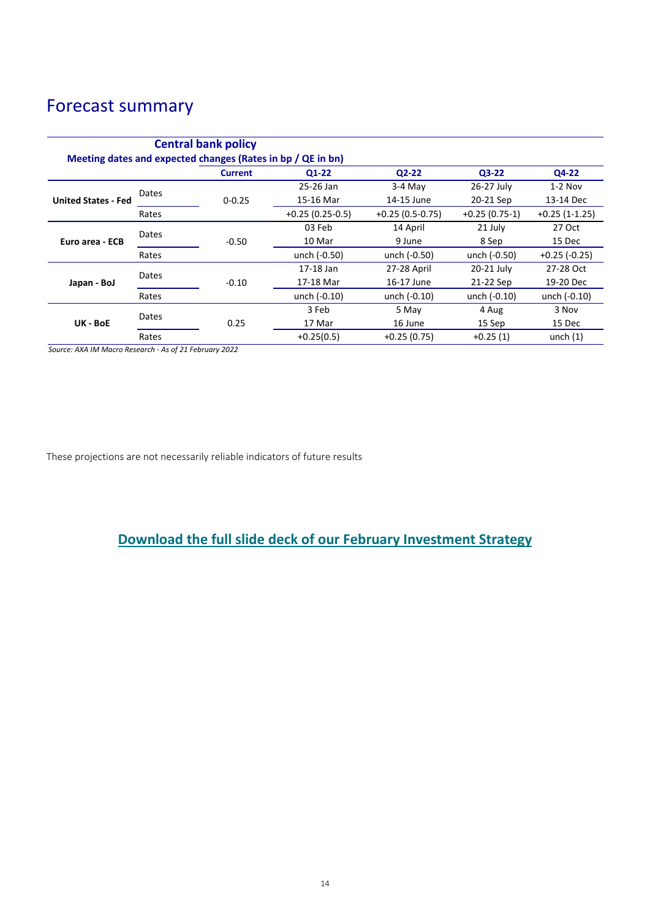# Forecast summary

| <b>Central bank policy</b><br>Meeting dates and expected changes (Rates in bp / QE in bn) |       |                |                   |                   |                 |                 |  |  |
|-------------------------------------------------------------------------------------------|-------|----------------|-------------------|-------------------|-----------------|-----------------|--|--|
|                                                                                           |       | <b>Current</b> | <b>Q1-22</b>      | $Q2-22$           | $Q3-22$         | Q4-22           |  |  |
|                                                                                           |       |                | 25-26 Jan         | $3-4$ May         | 26-27 July      | $1-2$ Nov       |  |  |
| <b>United States - Fed</b>                                                                | Dates | $0 - 0.25$     | 15-16 Mar         | 14-15 June        | 20-21 Sep       | 13-14 Dec       |  |  |
|                                                                                           | Rates |                | $+0.25(0.25-0.5)$ | $+0.25(0.5-0.75)$ | $+0.25(0.75-1)$ | $+0.25(1-1.25)$ |  |  |
| Euro area - ECB                                                                           | Dates |                | 03 Feb            | 14 April          | 21 July         | 27 Oct          |  |  |
|                                                                                           |       | $-0.50$        | 10 Mar            | 9 June            | 8 Sep           | 15 Dec          |  |  |
|                                                                                           | Rates |                | unch (-0.50)      | unch (-0.50)      | unch (-0.50)    | $+0.25$ (-0.25) |  |  |
|                                                                                           | Dates |                | 17-18 Jan         | 27-28 April       | 20-21 July      | 27-28 Oct       |  |  |
| Japan - BoJ                                                                               |       | $-0.10$        | 17-18 Mar         | 16-17 June        | 21-22 Sep       | 19-20 Dec       |  |  |
|                                                                                           | Rates |                | unch (-0.10)      | unch (-0.10)      | unch $(-0.10)$  | unch (-0.10)    |  |  |
| UK - BoE                                                                                  | Dates |                | 3 Feb             | 5 May             | 4 Aug           | 3 Nov           |  |  |
|                                                                                           |       | 0.25           | 17 Mar            | 16 June           | 15 Sep          | 15 Dec          |  |  |
|                                                                                           | Rates |                | $+0.25(0.5)$      | $+0.25(0.75)$     | $+0.25(1)$      | unch $(1)$      |  |  |

*Source: AXA IM Macro Research - As of 21 February 2022*

These projections are not necessarily reliable indicators of future results

### **[Download the full slide deck of our February](https://axa-im.com/sites/default/files/insight/pdf/axa-im-research-strategy-deck-en-2022-02.pdf) Investment Strategy**